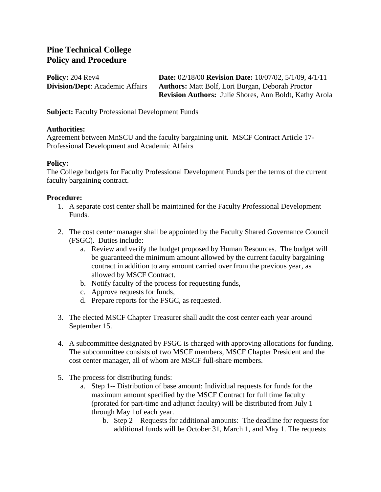## **Pine Technical College Policy and Procedure**

**Policy:** 204 Rev4 **Date:** 02/18/00 **Revision Date:** 10/07/02, 5/1/09, 4/1/11 **Division/Dept**: Academic Affairs **Authors:** Matt Bolf, Lori Burgan, Deborah Proctor **Revision Authors:** Julie Shores, Ann Boldt, Kathy Arola

**Subject:** Faculty Professional Development Funds

## **Authorities:**

Agreement between MnSCU and the faculty bargaining unit. MSCF Contract Article 17- Professional Development and Academic Affairs

## **Policy:**

The College budgets for Faculty Professional Development Funds per the terms of the current faculty bargaining contract.

## **Procedure:**

- 1. A separate cost center shall be maintained for the Faculty Professional Development Funds.
- 2. The cost center manager shall be appointed by the Faculty Shared Governance Council (FSGC). Duties include:
	- a. Review and verify the budget proposed by Human Resources. The budget will be guaranteed the minimum amount allowed by the current faculty bargaining contract in addition to any amount carried over from the previous year, as allowed by MSCF Contract.
	- b. Notify faculty of the process for requesting funds,
	- c. Approve requests for funds,
	- d. Prepare reports for the FSGC, as requested.
- 3. The elected MSCF Chapter Treasurer shall audit the cost center each year around September 15.
- 4. A subcommittee designated by FSGC is charged with approving allocations for funding. The subcommittee consists of two MSCF members, MSCF Chapter President and the cost center manager, all of whom are MSCF full-share members.
- 5. The process for distributing funds:
	- a. Step 1-- Distribution of base amount: Individual requests for funds for the maximum amount specified by the MSCF Contract for full time faculty (prorated for part-time and adjunct faculty) will be distributed from July 1 through May 1of each year.
		- b. Step 2 Requests for additional amounts: The deadline for requests for additional funds will be October 31, March 1, and May 1. The requests